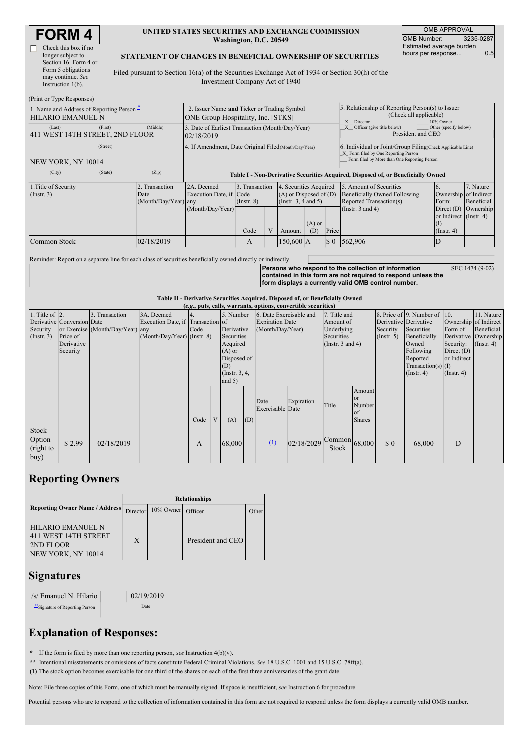| <b>FORM 4</b> |
|---------------|
|---------------|

| Check this box if no  |
|-----------------------|
| longer subject to     |
| Section 16. Form 4 or |
| Form 5 obligations    |
| may continue. See     |
| Instruction 1(b).     |

### **UNITED STATES SECURITIES AND EXCHANGE COMMISSION Washington, D.C. 20549**

OMB APPROVAL OMB Number: 3235-0287 Estimated average burden hours per response... 0.5

### **STATEMENT OF CHANGES IN BENEFICIAL OWNERSHIP OF SECURITIES**

Filed pursuant to Section 16(a) of the Securities Exchange Act of 1934 or Section 30(h) of the Investment Company Act of 1940

| (Print or Type Responses)                                                             |                                                                                          |                                                                                  |                         |                |             |                                                                                                                        |                                                                                                       |                                                                                                                                                    |                                                                                                                                              |                                      |  |
|---------------------------------------------------------------------------------------|------------------------------------------------------------------------------------------|----------------------------------------------------------------------------------|-------------------------|----------------|-------------|------------------------------------------------------------------------------------------------------------------------|-------------------------------------------------------------------------------------------------------|----------------------------------------------------------------------------------------------------------------------------------------------------|----------------------------------------------------------------------------------------------------------------------------------------------|--------------------------------------|--|
| 1. Name and Address of Reporting Person -<br>HILARIO EMANUEL N                        | 2. Issuer Name and Ticker or Trading Symbol<br><b>ONE Group Hospitality, Inc. [STKS]</b> |                                                                                  |                         |                |             |                                                                                                                        | 5. Relationship of Reporting Person(s) to Issuer<br>(Check all applicable)<br>X Director<br>10% Owner |                                                                                                                                                    |                                                                                                                                              |                                      |  |
| (First)<br>(Last)<br>411 WEST 14TH STREET, 2ND FLOOR                                  | (Middle)                                                                                 | 3. Date of Earliest Transaction (Month/Day/Year)<br>02/18/2019                   |                         |                |             |                                                                                                                        |                                                                                                       | Other (specify below)<br>Officer (give title below)<br>President and CEO                                                                           |                                                                                                                                              |                                      |  |
| (Street)<br>NEW YORK, NY 10014                                                        |                                                                                          | 4. If Amendment, Date Original Filed (Month/Day/Year)                            |                         |                |             |                                                                                                                        |                                                                                                       | 6. Individual or Joint/Group Filing(Check Applicable Line)<br>X Form filed by One Reporting Person<br>Form filed by More than One Reporting Person |                                                                                                                                              |                                      |  |
| (City)<br>(State)                                                                     | (Zip)                                                                                    | Table I - Non-Derivative Securities Acquired, Disposed of, or Beneficially Owned |                         |                |             |                                                                                                                        |                                                                                                       |                                                                                                                                                    |                                                                                                                                              |                                      |  |
| 1. Title of Security<br>2. Transaction<br>(Insert. 3)<br>Date<br>(Month/Day/Year) any |                                                                                          | 2A. Deemed<br>Execution Date, if Code<br>(Month/Day/Year)                        | $($ Instr. $8)$<br>Code | 3. Transaction |             | 4. Securities Acquired<br>$(A)$ or Disposed of $(D)$<br>(Instr. $3, 4$ and $5$ )<br>$(A)$ or<br>Price<br>(D)<br>Amount |                                                                                                       | 5. Amount of Securities<br><b>Beneficially Owned Following</b><br>Reported Transaction(s)<br>(Instr. $3$ and $4$ )                                 | $\mathbf{b}$ .<br>Ownership of Indirect<br>Form:<br>Direct $(D)$<br>or Indirect (Instr. 4)<br>$\left( \mathrm{I}\right)$<br>$($ Instr. 4 $)$ | 7. Nature<br>Beneficial<br>Ownership |  |
| Common Stock                                                                          | 02/18/2019                                                                               |                                                                                  | A                       |                | $150,600$ A |                                                                                                                        | $\boldsymbol{\mathsf{S}}$ 0                                                                           | 562,906                                                                                                                                            | D                                                                                                                                            |                                      |  |

Reminder: Report on a separate line for each class of securities beneficially owned directly or indirectly.

**Persons who respond to the collection of information contained in this form are not required to respond unless the form displays a currently valid OMB control number.** SEC 1474 (9-02)

**Table II - Derivative Securities Acquired, Disposed of, or Beneficially Owned**

| (e.g., puts, calls, warrants, options, convertible securities) |                            |                                  |                                   |      |           |             |                         |                         |                       |                               |               |                              |                       |               |            |
|----------------------------------------------------------------|----------------------------|----------------------------------|-----------------------------------|------|-----------|-------------|-------------------------|-------------------------|-----------------------|-------------------------------|---------------|------------------------------|-----------------------|---------------|------------|
| 1. Title of $\vert$ 2.                                         |                            | 3. Transaction                   | 3A. Deemed                        |      | 5. Number |             | 6. Date Exercisable and |                         | 7. Title and          |                               |               | 8. Price of 9. Number of 10. |                       | 11. Nature    |            |
|                                                                | Derivative Conversion Date |                                  | Execution Date, if Transaction of |      |           |             | <b>Expiration Date</b>  |                         | Amount of             |                               |               | Derivative Derivative        | Ownership of Indirect |               |            |
| Security                                                       |                            | or Exercise (Month/Day/Year) any |                                   | Code |           | Derivative  |                         | (Month/Day/Year)        |                       | Underlying                    |               | Security                     | Securities            | Form of       | Beneficial |
| (Insert. 3)                                                    | Price of                   |                                  | (Month/Day/Year) (Instr. 8)       |      |           | Securities  |                         | Securities              |                       | $($ Instr. 5 $)$              | Beneficially  |                              | Derivative Ownership  |               |            |
|                                                                | Derivative                 |                                  |                                   |      |           | Acquired    |                         |                         | (Instr. $3$ and $4$ ) |                               |               | Owned                        | Security:             | $($ Instr. 4) |            |
|                                                                | Security                   |                                  |                                   |      |           | $(A)$ or    |                         |                         |                       |                               |               |                              | Following             | Direct $(D)$  |            |
|                                                                |                            |                                  |                                   |      |           | Disposed of |                         |                         |                       |                               |               |                              | Reported              | or Indirect   |            |
|                                                                |                            |                                  |                                   |      |           | (D)         |                         |                         |                       |                               |               |                              | $Transaction(s)$ (I)  |               |            |
|                                                                |                            |                                  |                                   |      |           |             | (Instr. $3, 4,$         |                         |                       |                               |               | $($ Instr. 4 $)$             | $($ Instr. 4 $)$      |               |            |
|                                                                |                            |                                  |                                   |      |           | and $5)$    |                         |                         |                       |                               |               |                              |                       |               |            |
|                                                                |                            |                                  |                                   |      |           |             |                         |                         |                       |                               | Amount        |                              |                       |               |            |
|                                                                |                            |                                  |                                   |      |           |             |                         | Date                    | Expiration            |                               | or            |                              |                       |               |            |
|                                                                |                            |                                  |                                   |      |           |             |                         | <b>Exercisable</b> Date |                       | Title                         | Number        |                              |                       |               |            |
|                                                                |                            |                                  |                                   |      |           |             |                         |                         |                       |                               | of            |                              |                       |               |            |
|                                                                |                            |                                  |                                   | Code |           | (A)         | (D)                     |                         |                       |                               | <b>Shares</b> |                              |                       |               |            |
| Stock                                                          |                            |                                  |                                   |      |           |             |                         |                         |                       |                               |               |                              |                       |               |            |
| Option                                                         |                            |                                  |                                   |      |           |             |                         |                         |                       |                               |               |                              |                       |               |            |
| (right to                                                      | \$2.99                     | 02/18/2019                       |                                   | А    |           | 68,000      |                         | $\Omega$                | 02/18/2029            | $\sim$ Common 68,000<br>Stock |               | $\sqrt{3}0$                  | 68,000                | D             |            |
|                                                                |                            |                                  |                                   |      |           |             |                         |                         |                       |                               |               |                              |                       |               |            |
| buy)                                                           |                            |                                  |                                   |      |           |             |                         |                         |                       |                               |               |                              |                       |               |            |

### **Reporting Owners**

|                                                                                             | <b>Relationships</b> |           |                   |       |  |  |  |  |
|---------------------------------------------------------------------------------------------|----------------------|-----------|-------------------|-------|--|--|--|--|
| <b>Reporting Owner Name / Address</b>                                                       | Director             | 10% Owner | Officer           | Other |  |  |  |  |
| <b>HILARIO EMANUEL N</b><br>1411 WEST 14TH STREET<br><b>2ND FLOOR</b><br>NEW YORK, NY 10014 | X                    |           | President and CEO |       |  |  |  |  |

# **Signatures**

| /s/ Emanuel N. Hilario                      | 02/19/2019 |
|---------------------------------------------|------------|
| <sup>**</sup> Signature of Reporting Person | Date:      |

# **Explanation of Responses:**

**\*** If the form is filed by more than one reporting person, *see* Instruction 4(b)(v).

**\*\*** Intentional misstatements or omissions of facts constitute Federal Criminal Violations. *See* 18 U.S.C. 1001 and 15 U.S.C. 78ff(a).

**(1)** The stock option becomes exercisable for one third of the shares on each of the first three anniversaries of the grant date.

Note: File three copies of this Form, one of which must be manually signed. If space is insufficient, *see* Instruction 6 for procedure.

Potential persons who are to respond to the collection of information contained in this form are not required to respond unless the form displays a currently valid OMB number.